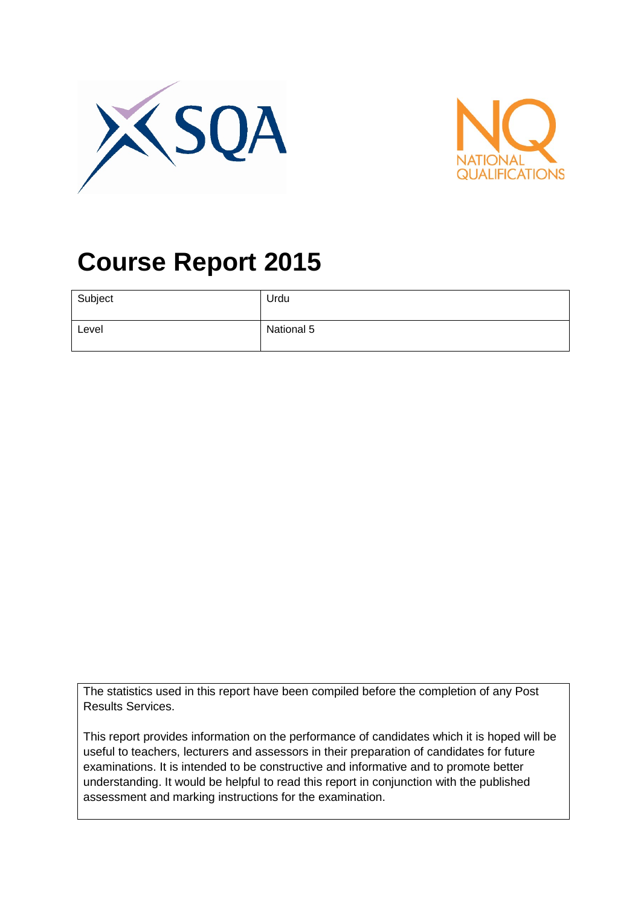



# **Course Report 2015**

| Subject | Urdu       |
|---------|------------|
| Level   | National 5 |

The statistics used in this report have been compiled before the completion of any Post Results Services.

This report provides information on the performance of candidates which it is hoped will be useful to teachers, lecturers and assessors in their preparation of candidates for future examinations. It is intended to be constructive and informative and to promote better understanding. It would be helpful to read this report in conjunction with the published assessment and marking instructions for the examination.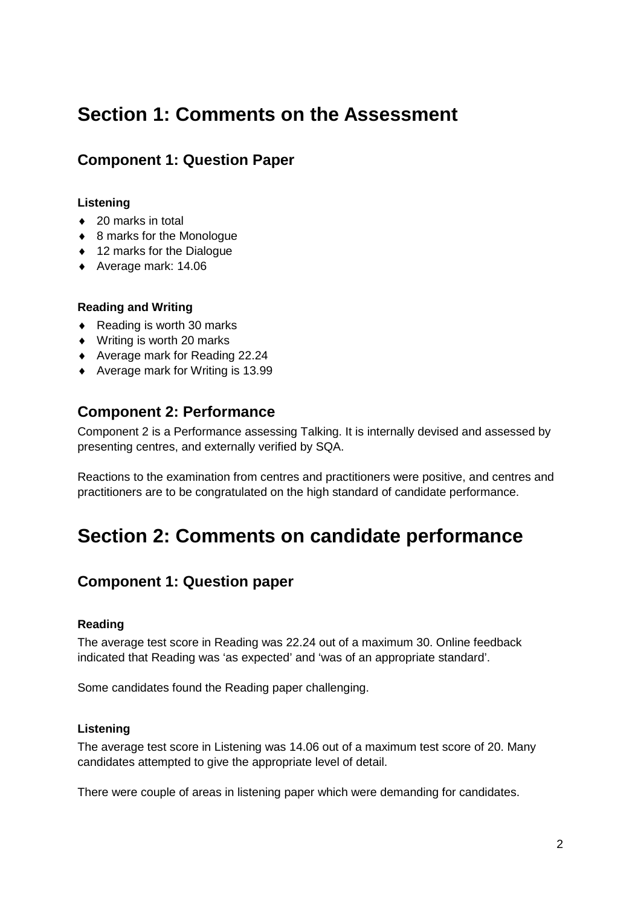# **Section 1: Comments on the Assessment**

# **Component 1: Question Paper**

#### **Listening**

- ♦ 20 marks in total
- ◆ 8 marks for the Monologue
- ♦ 12 marks for the Dialogue
- ♦ Average mark: 14.06

#### **Reading and Writing**

- ♦ Reading is worth 30 marks
- ♦ Writing is worth 20 marks
- ♦ Average mark for Reading 22.24
- ♦ Average mark for Writing is 13.99

### **Component 2: Performance**

Component 2 is a Performance assessing Talking. It is internally devised and assessed by presenting centres, and externally verified by SQA.

Reactions to the examination from centres and practitioners were positive, and centres and practitioners are to be congratulated on the high standard of candidate performance.

# **Section 2: Comments on candidate performance**

# **Component 1: Question paper**

#### **Reading**

The average test score in Reading was 22.24 out of a maximum 30. Online feedback indicated that Reading was 'as expected' and 'was of an appropriate standard'.

Some candidates found the Reading paper challenging.

#### **Listening**

The average test score in Listening was 14.06 out of a maximum test score of 20. Many candidates attempted to give the appropriate level of detail.

There were couple of areas in listening paper which were demanding for candidates.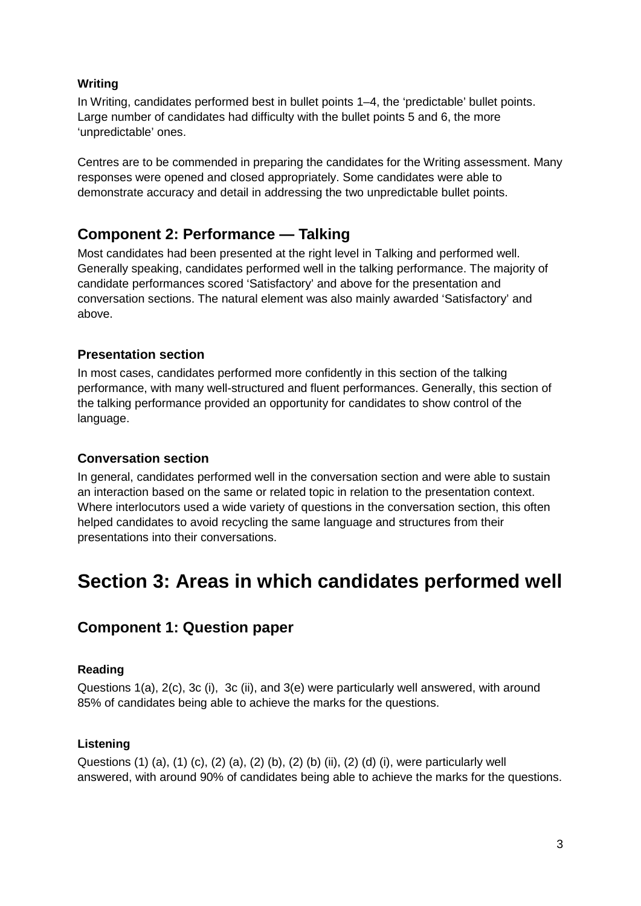#### **Writing**

In Writing, candidates performed best in bullet points 1–4, the 'predictable' bullet points. Large number of candidates had difficulty with the bullet points 5 and 6, the more 'unpredictable' ones.

Centres are to be commended in preparing the candidates for the Writing assessment. Many responses were opened and closed appropriately. Some candidates were able to demonstrate accuracy and detail in addressing the two unpredictable bullet points.

# **Component 2: Performance — Talking**

Most candidates had been presented at the right level in Talking and performed well. Generally speaking, candidates performed well in the talking performance. The majority of candidate performances scored 'Satisfactory' and above for the presentation and conversation sections. The natural element was also mainly awarded 'Satisfactory' and above.

#### **Presentation section**

In most cases, candidates performed more confidently in this section of the talking performance, with many well-structured and fluent performances. Generally, this section of the talking performance provided an opportunity for candidates to show control of the language.

#### **Conversation section**

In general, candidates performed well in the conversation section and were able to sustain an interaction based on the same or related topic in relation to the presentation context. Where interlocutors used a wide variety of questions in the conversation section, this often helped candidates to avoid recycling the same language and structures from their presentations into their conversations.

# **Section 3: Areas in which candidates performed well**

### **Component 1: Question paper**

#### **Reading**

Questions 1(a), 2(c), 3c (i), 3c (ii), and 3(e) were particularly well answered, with around 85% of candidates being able to achieve the marks for the questions.

#### **Listening**

Questions (1) (a), (1) (c), (2) (a), (2) (b), (2) (b) (ii), (2) (d) (i), were particularly well answered, with around 90% of candidates being able to achieve the marks for the questions.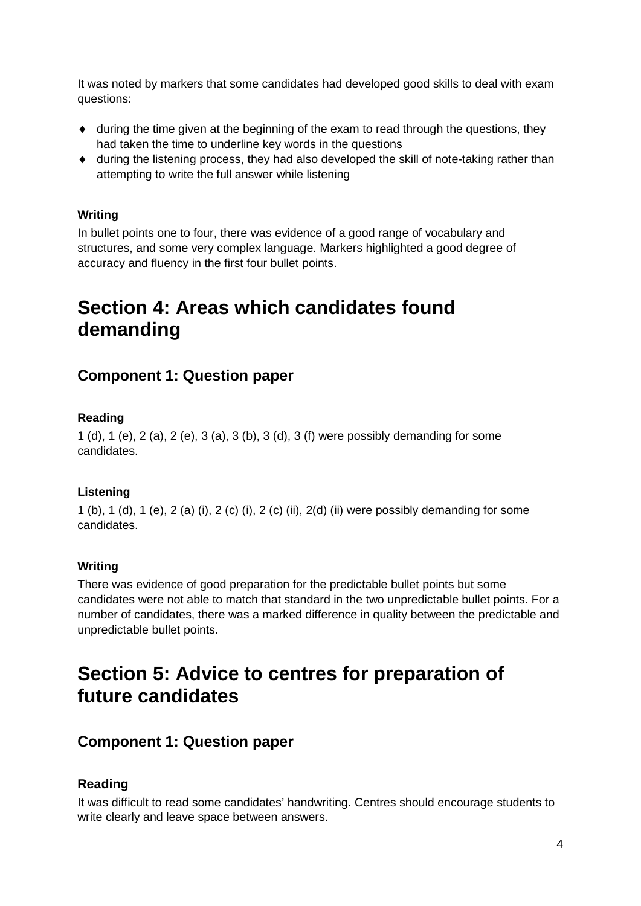It was noted by markers that some candidates had developed good skills to deal with exam questions:

- $\bullet$  during the time given at the beginning of the exam to read through the questions, they had taken the time to underline key words in the questions
- ♦ during the listening process, they had also developed the skill of note-taking rather than attempting to write the full answer while listening

#### **Writing**

In bullet points one to four, there was evidence of a good range of vocabulary and structures, and some very complex language. Markers highlighted a good degree of accuracy and fluency in the first four bullet points.

# **Section 4: Areas which candidates found demanding**

### **Component 1: Question paper**

#### **Reading**

1 (d), 1 (e), 2 (a), 2 (e), 3 (a), 3 (b), 3 (d), 3 (f) were possibly demanding for some candidates.

#### **Listening**

1 (b), 1 (d), 1 (e), 2 (a) (i), 2 (c) (i), 2 (c) (ii), 2(d) (ii) were possibly demanding for some candidates.

#### **Writing**

There was evidence of good preparation for the predictable bullet points but some candidates were not able to match that standard in the two unpredictable bullet points. For a number of candidates, there was a marked difference in quality between the predictable and unpredictable bullet points.

# **Section 5: Advice to centres for preparation of future candidates**

#### **Component 1: Question paper**

#### **Reading**

It was difficult to read some candidates' handwriting. Centres should encourage students to write clearly and leave space between answers.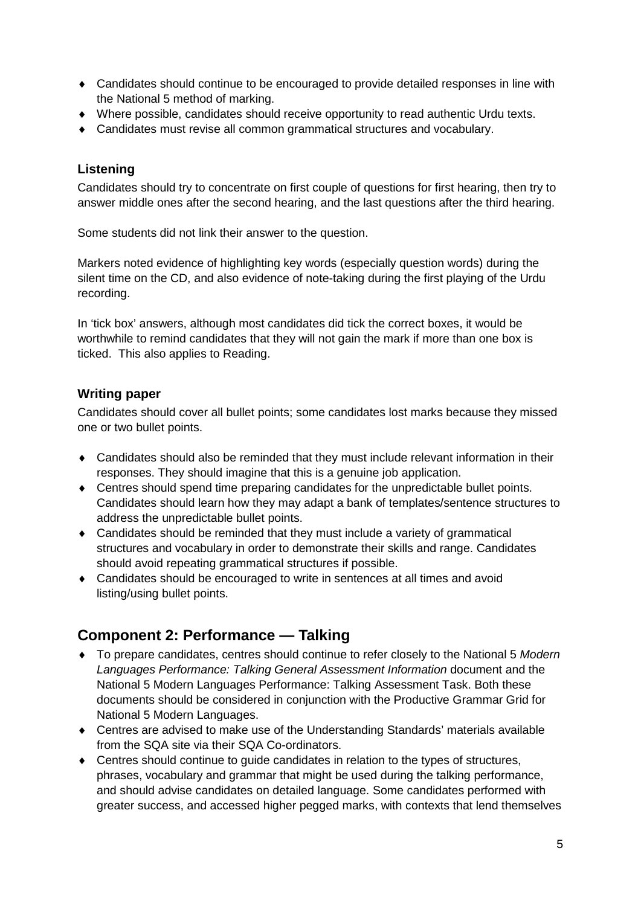- ♦ Candidates should continue to be encouraged to provide detailed responses in line with the National 5 method of marking.
- ♦ Where possible, candidates should receive opportunity to read authentic Urdu texts.
- ♦ Candidates must revise all common grammatical structures and vocabulary.

#### **Listening**

Candidates should try to concentrate on first couple of questions for first hearing, then try to answer middle ones after the second hearing, and the last questions after the third hearing.

Some students did not link their answer to the question.

Markers noted evidence of highlighting key words (especially question words) during the silent time on the CD, and also evidence of note-taking during the first playing of the Urdu recording.

In 'tick box' answers, although most candidates did tick the correct boxes, it would be worthwhile to remind candidates that they will not gain the mark if more than one box is ticked. This also applies to Reading.

#### **Writing paper**

Candidates should cover all bullet points; some candidates lost marks because they missed one or two bullet points.

- ♦ Candidates should also be reminded that they must include relevant information in their responses. They should imagine that this is a genuine job application.
- ♦ Centres should spend time preparing candidates for the unpredictable bullet points. Candidates should learn how they may adapt a bank of templates/sentence structures to address the unpredictable bullet points.
- ♦ Candidates should be reminded that they must include a variety of grammatical structures and vocabulary in order to demonstrate their skills and range. Candidates should avoid repeating grammatical structures if possible.
- ♦ Candidates should be encouraged to write in sentences at all times and avoid listing/using bullet points.

# **Component 2: Performance — Talking**

- ♦ To prepare candidates, centres should continue to refer closely to the National 5 *Modern Languages Performance: Talking General Assessment Information* document and the National 5 Modern Languages Performance: Talking Assessment Task. Both these documents should be considered in conjunction with the Productive Grammar Grid for National 5 Modern Languages.
- ♦ Centres are advised to make use of the Understanding Standards' materials available from the SQA site via their SQA Co-ordinators.
- $\bullet$  Centres should continue to quide candidates in relation to the types of structures, phrases, vocabulary and grammar that might be used during the talking performance, and should advise candidates on detailed language. Some candidates performed with greater success, and accessed higher pegged marks, with contexts that lend themselves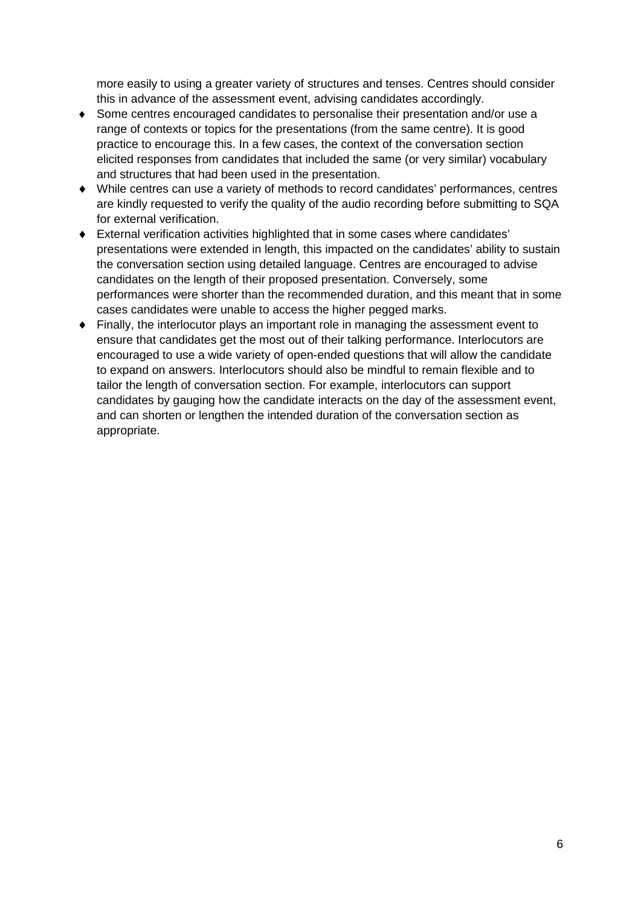more easily to using a greater variety of structures and tenses. Centres should consider this in advance of the assessment event, advising candidates accordingly.

- ♦ Some centres encouraged candidates to personalise their presentation and/or use a range of contexts or topics for the presentations (from the same centre). It is good practice to encourage this. In a few cases, the context of the conversation section elicited responses from candidates that included the same (or very similar) vocabulary and structures that had been used in the presentation.
- ♦ While centres can use a variety of methods to record candidates' performances, centres are kindly requested to verify the quality of the audio recording before submitting to SQA for external verification.
- ♦ External verification activities highlighted that in some cases where candidates' presentations were extended in length, this impacted on the candidates' ability to sustain the conversation section using detailed language. Centres are encouraged to advise candidates on the length of their proposed presentation. Conversely, some performances were shorter than the recommended duration, and this meant that in some cases candidates were unable to access the higher pegged marks.
- ♦ Finally, the interlocutor plays an important role in managing the assessment event to ensure that candidates get the most out of their talking performance. Interlocutors are encouraged to use a wide variety of open-ended questions that will allow the candidate to expand on answers. Interlocutors should also be mindful to remain flexible and to tailor the length of conversation section. For example, interlocutors can support candidates by gauging how the candidate interacts on the day of the assessment event, and can shorten or lengthen the intended duration of the conversation section as appropriate.